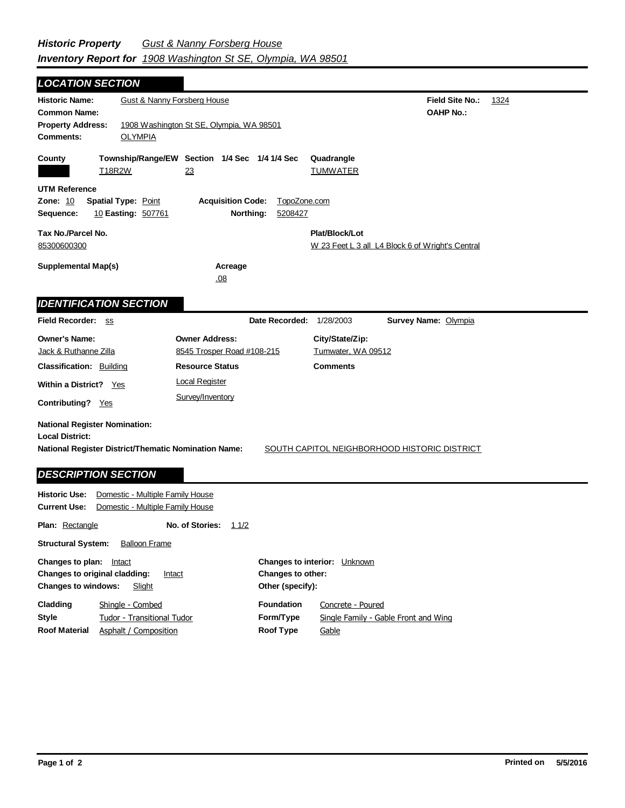**Field Site No.:** 1324 **OAHP No.: Historic Name:** Gust & Nanny Forsberg House **Common Name: County Plat/Block/Lot** W 23 Feet L 3 all L4 Block 6 of Wright's Central **Acreage** .08 **Supplemental Map(s) Tax No./Parcel No.** 85300600300 **Property Address:** 1908 Washington St SE, Olympia, WA 98501 *LOCATION SECTION* **Comments:** OLYMPIA **Quadrangle UTM Reference Township/Range/EW Section 1/4 Sec 1/4 1/4 Sec Owner Address:** 8545 Trosper Road #108-215 **Field Recorder:** ss **Owner's Name:** Jack & Ruthanne Zilla **City/State/Zip:** Tumwater, WA 09512 **National Register District/Thematic Nomination Name:** SOUTH CAPITOL NEIGHBORHOOD HISTORIC DISTRICT **Local District: Date Recorded:** 1/28/2003 **Classification:** Building Within a District? Yes **Contributing?** Yes **Comments National Register Nomination: Plan:** Rectangle **Historic Use:** Domestic - Multiple Family House **Current Use:** Domestic - Multiple Family House **No. of Stories:** 11/2 **Resource Status Survey Name:** Olympia *IDENTIFICATION SECTION DESCRIPTION SECTION* T18R2W 23 TUMWATER **Zone:** 10 **Spatial Type:** Point **Acquisition Code:** TopoZone.com **Sequence:** 10 **Easting:** 507761 **Northing:** 5208427 Local Register Survey/Inventory

**Structural System:** Balloon Frame

**Other (specify): Style Changes to plan:** Intact **Changes to original cladding:** Intact **Changes to windows:** Slight **Changes to interior:** Unknown **Changes to other: Cladding Roof Material Foundation Form/Type Roof Type** Tudor - Transitional Tudor Shingle - Combed Asphalt / Composition Concrete - Poured Single Family - Gable Front and Wing Gable